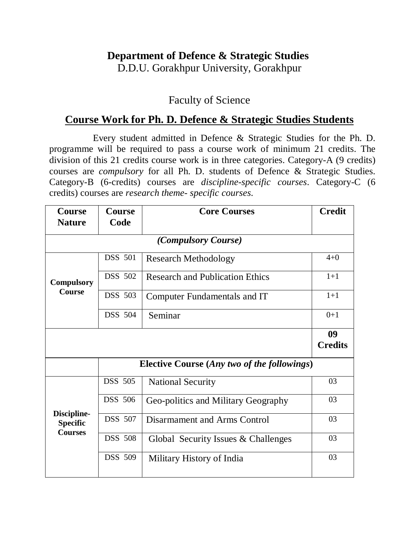## **Department of Defence & Strategic Studies**

D.D.U. Gorakhpur University, Gorakhpur

## Faculty of Science

## **Course Work for Ph. D. Defence & Strategic Studies Students**

Every student admitted in Defence & Strategic Studies for the Ph. D. programme will be required to pass a course work of minimum 21 credits. The division of this 21 credits course work is in three categories. Category-A (9 credits) courses are *compulsory* for all Ph. D. students of Defence & Strategic Studies. Category-B (6-credits) courses are *discipline-specific courses*. Category-C (6 credits) courses are *research theme- specific courses*.

| <b>Course</b>                                    | <b>Course</b>                                      | <b>Core Courses</b>                    | <b>Credit</b>        |  |  |
|--------------------------------------------------|----------------------------------------------------|----------------------------------------|----------------------|--|--|
|                                                  | Code<br><b>Nature</b>                              |                                        |                      |  |  |
|                                                  |                                                    | <i>(Compulsory Course)</i>             |                      |  |  |
| <b>Compulsory</b><br><b>Course</b>               | <b>DSS 501</b>                                     | <b>Research Methodology</b>            | $4 + 0$              |  |  |
|                                                  | <b>DSS</b> 502                                     | <b>Research and Publication Ethics</b> | $1+1$                |  |  |
|                                                  | <b>DSS</b> 503                                     | Computer Fundamentals and IT           | $1+1$                |  |  |
|                                                  | <b>DSS</b> 504                                     | Seminar                                | $0+1$                |  |  |
|                                                  |                                                    |                                        | 09<br><b>Credits</b> |  |  |
|                                                  |                                                    |                                        |                      |  |  |
|                                                  | <b>Elective Course (Any two of the followings)</b> |                                        |                      |  |  |
|                                                  | <b>DSS 505</b>                                     | <b>National Security</b>               | 03                   |  |  |
| Discipline-<br><b>Specific</b><br><b>Courses</b> | <b>DSS</b> 506                                     | Geo-politics and Military Geography    | 03                   |  |  |
|                                                  | <b>DSS</b> 507                                     | Disarmament and Arms Control           | 03                   |  |  |
|                                                  | <b>DSS 508</b>                                     | Global Security Issues & Challenges    | 03                   |  |  |
|                                                  | <b>DSS</b> 509                                     | Military History of India              | 03                   |  |  |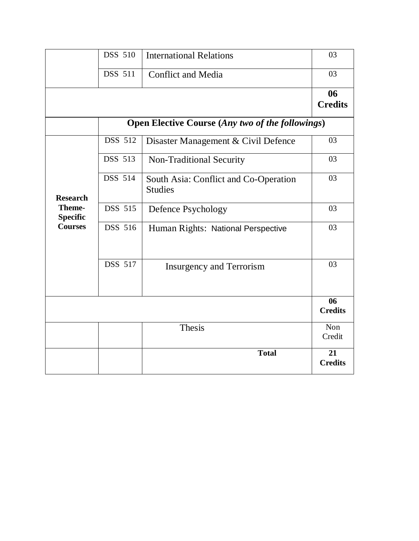|                                             | <b>DSS 510</b>                                          | <b>International Relations</b>                          | 03                   |  |  |
|---------------------------------------------|---------------------------------------------------------|---------------------------------------------------------|----------------------|--|--|
|                                             | <b>DSS 511</b>                                          | <b>Conflict and Media</b>                               | 03                   |  |  |
|                                             |                                                         |                                                         | 06<br><b>Credits</b> |  |  |
|                                             | <b>Open Elective Course (Any two of the followings)</b> |                                                         |                      |  |  |
|                                             | <b>DSS 512</b>                                          | Disaster Management & Civil Defence                     | 03                   |  |  |
|                                             | <b>DSS 513</b>                                          | Non-Traditional Security                                | 03                   |  |  |
| <b>Research</b>                             | DSS 514                                                 | South Asia: Conflict and Co-Operation<br><b>Studies</b> | 03                   |  |  |
| Theme-<br><b>Specific</b><br><b>Courses</b> | <b>DSS 515</b>                                          | Defence Psychology                                      | 03                   |  |  |
|                                             | DSS 516                                                 | Human Rights: National Perspective                      | 03                   |  |  |
|                                             | <b>DSS 517</b>                                          | <b>Insurgency and Terrorism</b>                         | 03                   |  |  |
|                                             |                                                         |                                                         | 06<br><b>Credits</b> |  |  |
|                                             |                                                         | <b>Thesis</b>                                           | Non<br>Credit        |  |  |
|                                             |                                                         | <b>Total</b>                                            | 21<br><b>Credits</b> |  |  |